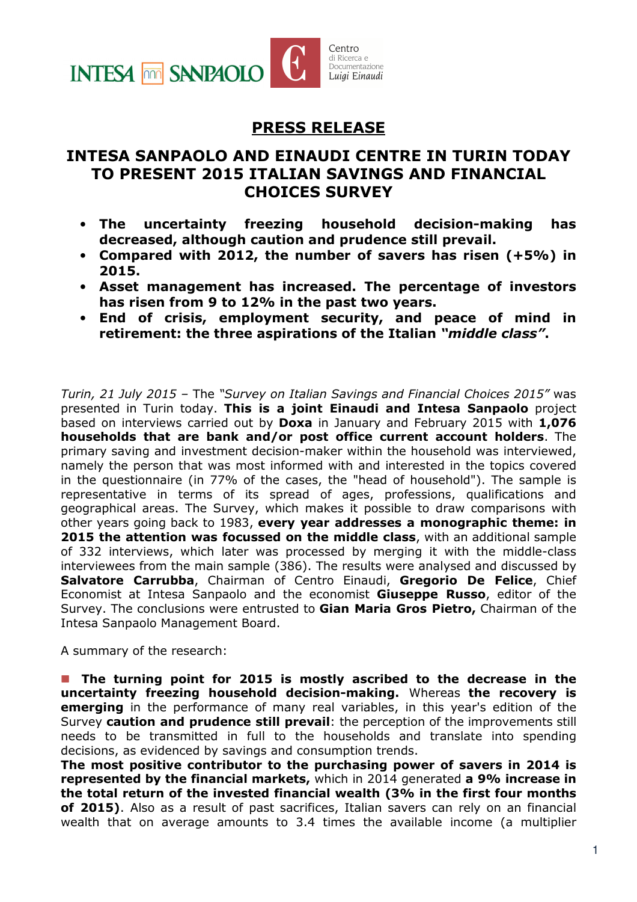

## PRESS RELEASE

## INTESA SANPAOLO AND EINAUDI CENTRE IN TURIN TODAY TO PRESENT 2015 ITALIAN SAVINGS AND FINANCIAL CHOICES SURVEY

- The uncertainty freezing household decision-making has decreased, although caution and prudence still prevail.
- Compared with 2012, the number of savers has risen (+5%) in 2015.
- Asset management has increased. The percentage of investors has risen from 9 to 12% in the past two years.
- End of crisis, employment security, and peace of mind in retirement: the three aspirations of the Italian "*middle class"*.

Turin, 21 July 2015 – The "Survey on Italian Savings and Financial Choices 2015" was presented in Turin today. This is a joint Einaudi and Intesa Sanpaolo project based on interviews carried out by **Doxa** in January and February 2015 with 1,076 households that are bank and/or post office current account holders. The primary saving and investment decision-maker within the household was interviewed, namely the person that was most informed with and interested in the topics covered in the questionnaire (in 77% of the cases, the "head of household"). The sample is representative in terms of its spread of ages, professions, qualifications and geographical areas. The Survey, which makes it possible to draw comparisons with other years going back to 1983, every year addresses a monographic theme: in **2015 the attention was focussed on the middle class**, with an additional sample of 332 interviews, which later was processed by merging it with the middle-class interviewees from the main sample (386). The results were analysed and discussed by Salvatore Carrubba, Chairman of Centro Einaudi, Gregorio De Felice, Chief Economist at Intesa Sanpaolo and the economist **Giuseppe Russo**, editor of the Survey. The conclusions were entrusted to Gian Maria Gros Pietro, Chairman of the Intesa Sanpaolo Management Board.

A summary of the research:

**The turning point for 2015 is mostly ascribed to the decrease in the** uncertainty freezing household decision-making. Whereas the recovery is emerging in the performance of many real variables, in this year's edition of the Survey caution and prudence still prevail: the perception of the improvements still needs to be transmitted in full to the households and translate into spending decisions, as evidenced by savings and consumption trends.

The most positive contributor to the purchasing power of savers in 2014 is represented by the financial markets, which in 2014 generated a 9% increase in the total return of the invested financial wealth (3% in the first four months of 2015). Also as a result of past sacrifices, Italian savers can rely on an financial wealth that on average amounts to 3.4 times the available income (a multiplier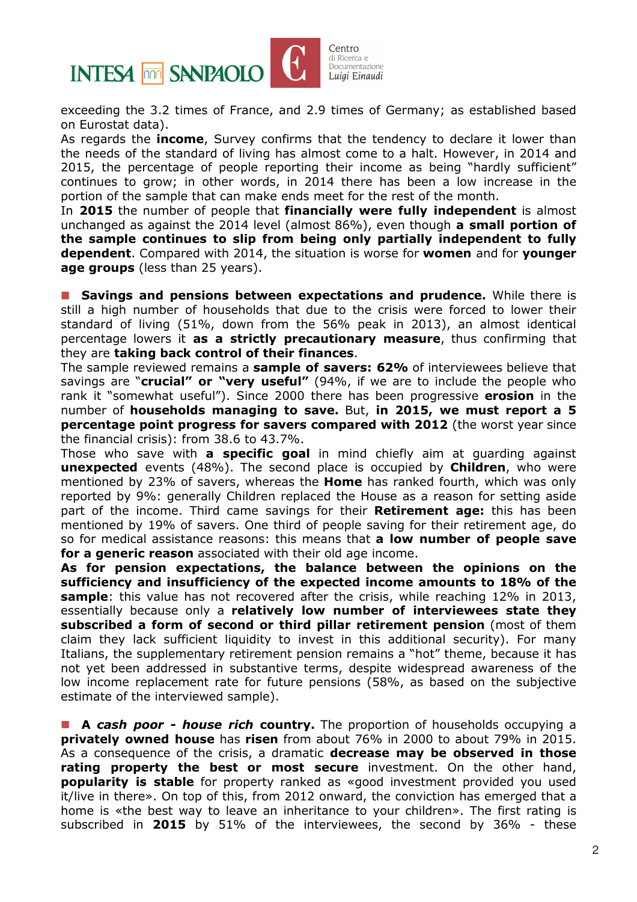

exceeding the 3.2 times of France, and 2.9 times of Germany; as established based on Eurostat data).

As regards the **income**, Survey confirms that the tendency to declare it lower than the needs of the standard of living has almost come to a halt. However, in 2014 and 2015, the percentage of people reporting their income as being "hardly sufficient" continues to grow; in other words, in 2014 there has been a low increase in the portion of the sample that can make ends meet for the rest of the month.

In 2015 the number of people that financially were fully independent is almost unchanged as against the 2014 level (almost 86%), even though a small portion of the sample continues to slip from being only partially independent to fully dependent. Compared with 2014, the situation is worse for women and for vounger age groups (less than 25 years).

**Savings and pensions between expectations and prudence.** While there is still a high number of households that due to the crisis were forced to lower their standard of living (51%, down from the 56% peak in 2013), an almost identical percentage lowers it as a strictly precautionary measure, thus confirming that they are taking back control of their finances.

The sample reviewed remains a sample of savers: 62% of interviewees believe that savings are "**crucial" or "very useful"** (94%, if we are to include the people who rank it "somewhat useful"). Since 2000 there has been progressive **erosion** in the number of households managing to save. But, in 2015, we must report a 5 percentage point progress for savers compared with 2012 (the worst year since the financial crisis): from 38.6 to 43.7%.

Those who save with **a specific goal** in mind chiefly aim at guarding against **unexpected** events (48%). The second place is occupied by **Children**, who were mentioned by 23% of savers, whereas the **Home** has ranked fourth, which was only reported by 9%: generally Children replaced the House as a reason for setting aside part of the income. Third came savings for their **Retirement age:** this has been mentioned by 19% of savers. One third of people saving for their retirement age, do so for medical assistance reasons: this means that **a low number of people save** for a generic reason associated with their old age income.

As for pension expectations, the balance between the opinions on the sufficiency and insufficiency of the expected income amounts to 18% of the sample: this value has not recovered after the crisis, while reaching 12% in 2013, essentially because only a relatively low number of interviewees state they subscribed a form of second or third pillar retirement pension (most of them claim they lack sufficient liquidity to invest in this additional security). For many Italians, the supplementary retirement pension remains a "hot" theme, because it has not yet been addressed in substantive terms, despite widespread awareness of the low income replacement rate for future pensions (58%, as based on the subjective estimate of the interviewed sample).

**A cash poor - house rich country.** The proportion of households occupying a privately owned house has risen from about 76% in 2000 to about 79% in 2015. As a consequence of the crisis, a dramatic decrease may be observed in those rating property the best or most secure investment. On the other hand, **popularity is stable** for property ranked as «good investment provided you used it/live in there». On top of this, from 2012 onward, the conviction has emerged that a home is «the best way to leave an inheritance to your children». The first rating is subscribed in 2015 by 51% of the interviewees, the second by 36% - these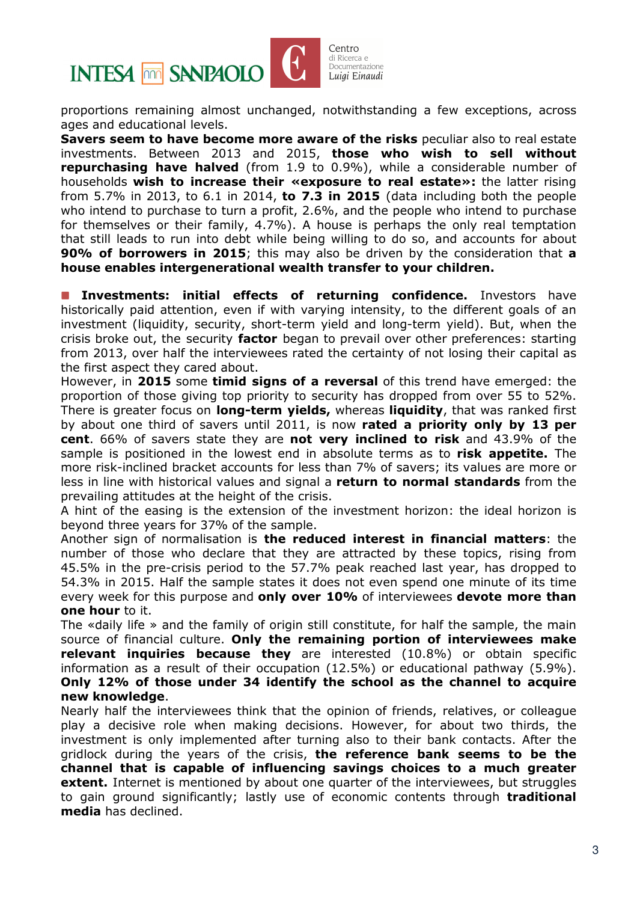

proportions remaining almost unchanged, notwithstanding a few exceptions, across ages and educational levels.

Savers seem to have become more aware of the risks peculiar also to real estate investments. Between 2013 and 2015, those who wish to sell without repurchasing have halved (from 1.9 to 0.9%), while a considerable number of households wish to increase their «exposure to real estate»: the latter rising from 5.7% in 2013, to 6.1 in 2014, to 7.3 in 2015 (data including both the people who intend to purchase to turn a profit, 2.6%, and the people who intend to purchase for themselves or their family, 4.7%). A house is perhaps the only real temptation that still leads to run into debt while being willing to do so, and accounts for about 90% of borrowers in 2015; this may also be driven by the consideration that a house enables intergenerational wealth transfer to your children.

**Investments: initial effects of returning confidence.** Investors have historically paid attention, even if with varying intensity, to the different goals of an investment (liquidity, security, short-term yield and long-term yield). But, when the crisis broke out, the security **factor** began to prevail over other preferences: starting from 2013, over half the interviewees rated the certainty of not losing their capital as the first aspect they cared about.

However, in 2015 some timid signs of a reversal of this trend have emerged: the proportion of those giving top priority to security has dropped from over 55 to 52%. There is greater focus on long-term yields, whereas liquidity, that was ranked first by about one third of savers until 2011, is now rated a priority only by 13 per cent. 66% of savers state they are not very inclined to risk and 43.9% of the sample is positioned in the lowest end in absolute terms as to risk appetite. The more risk-inclined bracket accounts for less than 7% of savers; its values are more or less in line with historical values and signal a return to normal standards from the prevailing attitudes at the height of the crisis.

A hint of the easing is the extension of the investment horizon: the ideal horizon is beyond three years for 37% of the sample.

Another sign of normalisation is the reduced interest in financial matters: the number of those who declare that they are attracted by these topics, rising from 45.5% in the pre-crisis period to the 57.7% peak reached last year, has dropped to 54.3% in 2015. Half the sample states it does not even spend one minute of its time every week for this purpose and only over 10% of interviewees devote more than one hour to it.

The «daily life » and the family of origin still constitute, for half the sample, the main source of financial culture. Only the remaining portion of interviewees make relevant inquiries because they are interested (10.8%) or obtain specific information as a result of their occupation (12.5%) or educational pathway (5.9%). Only 12% of those under 34 identify the school as the channel to acquire new knowledge.

Nearly half the interviewees think that the opinion of friends, relatives, or colleague play a decisive role when making decisions. However, for about two thirds, the investment is only implemented after turning also to their bank contacts. After the gridlock during the years of the crisis, the reference bank seems to be the channel that is capable of influencing savings choices to a much greater **extent.** Internet is mentioned by about one quarter of the interviewees, but struggles to gain ground significantly; lastly use of economic contents through traditional media has declined.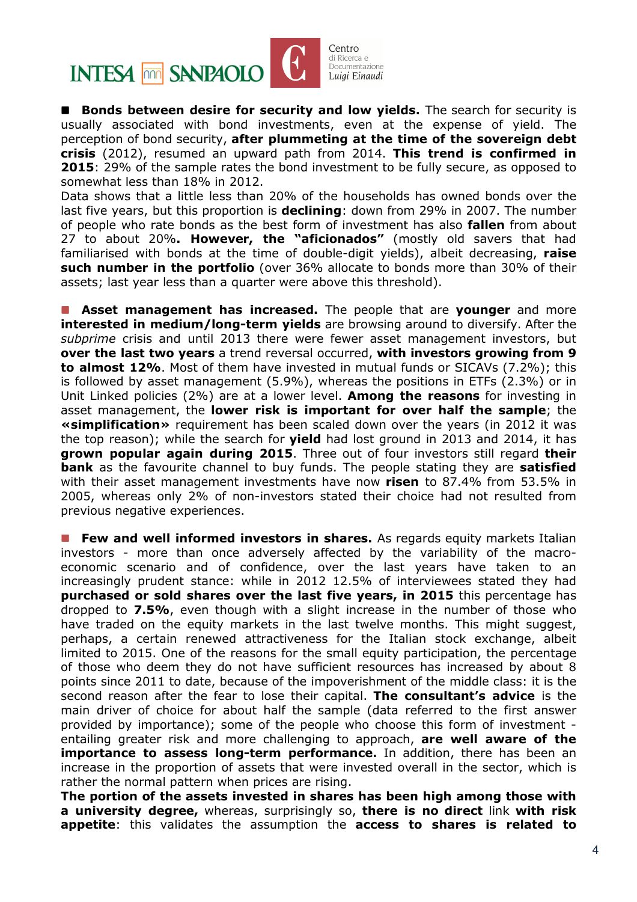

Centro di Ricerca e an nuosi sa<br>Documentazione Luigi Einaudi

**Bonds between desire for security and low yields.** The search for security is usually associated with bond investments, even at the expense of yield. The perception of bond security, after plummeting at the time of the sovereign debt crisis (2012), resumed an upward path from 2014. This trend is confirmed in 2015: 29% of the sample rates the bond investment to be fully secure, as opposed to somewhat less than 18% in 2012.

Data shows that a little less than 20% of the households has owned bonds over the last five years, but this proportion is **declining**: down from 29% in 2007. The number of people who rate bonds as the best form of investment has also **fallen** from about 27 to about 20%. However, the "aficionados" (mostly old savers that had familiarised with bonds at the time of double-digit yields), albeit decreasing, raise **such number in the portfolio** (over 36% allocate to bonds more than 30% of their assets; last year less than a quarter were above this threshold).

**Asset management has increased.** The people that are **younger** and more **interested in medium/long-term yields** are browsing around to diversify. After the subprime crisis and until 2013 there were fewer asset management investors, but over the last two years a trend reversal occurred, with investors growing from 9 to almost 12%. Most of them have invested in mutual funds or SICAVs (7.2%); this is followed by asset management (5.9%), whereas the positions in ETFs (2.3%) or in Unit Linked policies (2%) are at a lower level. **Among the reasons** for investing in asset management, the lower risk is important for over half the sample; the «simplification» requirement has been scaled down over the years (in 2012 it was the top reason); while the search for **yield** had lost ground in 2013 and 2014, it has **grown popular again during 2015.** Three out of four investors still regard their **bank** as the favourite channel to buy funds. The people stating they are **satisfied** with their asset management investments have now risen to 87.4% from 53.5% in 2005, whereas only 2% of non-investors stated their choice had not resulted from previous negative experiences.

**Few and well informed investors in shares.** As regards equity markets Italian investors - more than once adversely affected by the variability of the macroeconomic scenario and of confidence, over the last years have taken to an increasingly prudent stance: while in 2012 12.5% of interviewees stated they had purchased or sold shares over the last five years, in 2015 this percentage has dropped to 7.5%, even though with a slight increase in the number of those who have traded on the equity markets in the last twelve months. This might suggest, perhaps, a certain renewed attractiveness for the Italian stock exchange, albeit limited to 2015. One of the reasons for the small equity participation, the percentage of those who deem they do not have sufficient resources has increased by about 8 points since 2011 to date, because of the impoverishment of the middle class: it is the second reason after the fear to lose their capital. The consultant's advice is the main driver of choice for about half the sample (data referred to the first answer provided by importance); some of the people who choose this form of investment entailing greater risk and more challenging to approach, are well aware of the importance to assess long-term performance. In addition, there has been an increase in the proportion of assets that were invested overall in the sector, which is rather the normal pattern when prices are rising.

The portion of the assets invested in shares has been high among those with a university degree, whereas, surprisingly so, there is no direct link with risk appetite: this validates the assumption the access to shares is related to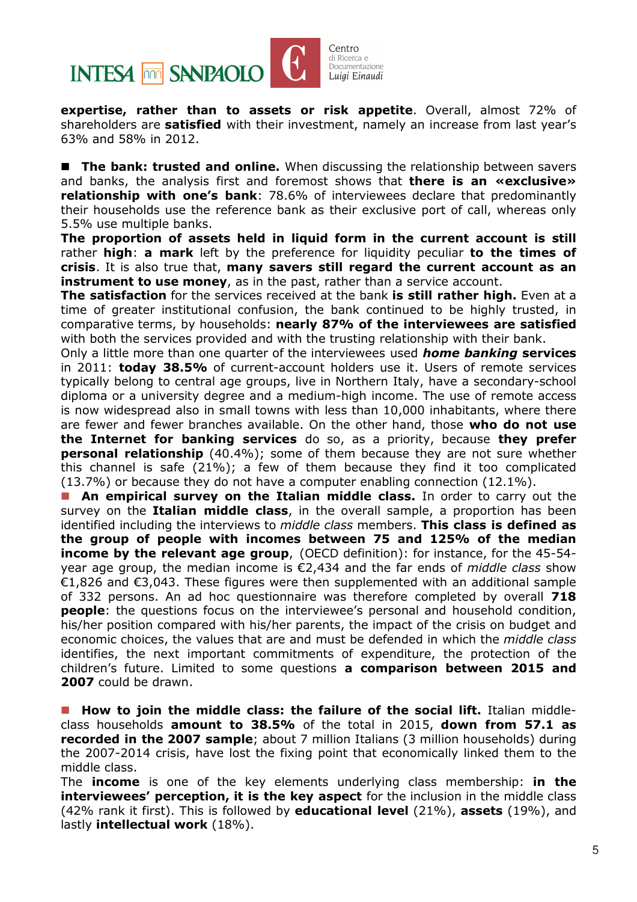

expertise, rather than to assets or risk appetite. Overall, almost 72% of shareholders are satisfied with their investment, namely an increase from last year's 63% and 58% in 2012.

**The bank: trusted and online.** When discussing the relationship between savers and banks, the analysis first and foremost shows that there is an «exclusive» relationship with one's bank: 78.6% of interviewees declare that predominantly their households use the reference bank as their exclusive port of call, whereas only 5.5% use multiple banks.

The proportion of assets held in liquid form in the current account is still rather **high: a mark** left by the preference for liquidity peculiar **to the times of** crisis. It is also true that, many savers still regard the current account as an instrument to use money, as in the past, rather than a service account.

The satisfaction for the services received at the bank is still rather high. Even at a time of greater institutional confusion, the bank continued to be highly trusted, in comparative terms, by households: nearly 87% of the interviewees are satisfied with both the services provided and with the trusting relationship with their bank.

Only a little more than one quarter of the interviewees used *home banking* services in 2011: **today 38.5%** of current-account holders use it. Users of remote services typically belong to central age groups, live in Northern Italy, have a secondary-school diploma or a university degree and a medium-high income. The use of remote access is now widespread also in small towns with less than 10,000 inhabitants, where there are fewer and fewer branches available. On the other hand, those **who do not use** the Internet for banking services do so, as a priority, because they prefer **personal relationship** (40.4%); some of them because they are not sure whether this channel is safe (21%); a few of them because they find it too complicated (13.7%) or because they do not have a computer enabling connection (12.1%).

**An empirical survey on the Italian middle class.** In order to carry out the survey on the **Italian middle class**, in the overall sample, a proportion has been identified including the interviews to *middle class* members. This class is defined as the group of people with incomes between 75 and 125% of the median income by the relevant age group, (OECD definition): for instance, for the 45-54year age group, the median income is  $\epsilon$ 2,434 and the far ends of *middle class* show €1,826 and €3,043. These figures were then supplemented with an additional sample of 332 persons. An ad hoc questionnaire was therefore completed by overall 718 **people**: the questions focus on the interviewee's personal and household condition, his/her position compared with his/her parents, the impact of the crisis on budget and economic choices, the values that are and must be defended in which the *middle class* identifies, the next important commitments of expenditure, the protection of the children's future. Limited to some questions a comparison between 2015 and 2007 could be drawn.

**How to join the middle class: the failure of the social lift.** Italian middleclass households **amount to 38.5%** of the total in 2015, **down from 57.1 as** recorded in the 2007 sample; about 7 million Italians (3 million households) during the 2007-2014 crisis, have lost the fixing point that economically linked them to the middle class.

The **income** is one of the key elements underlying class membership: in the interviewees' perception, it is the key aspect for the inclusion in the middle class (42% rank it first). This is followed by **educational level** (21%), **assets** (19%), and lastly intellectual work (18%).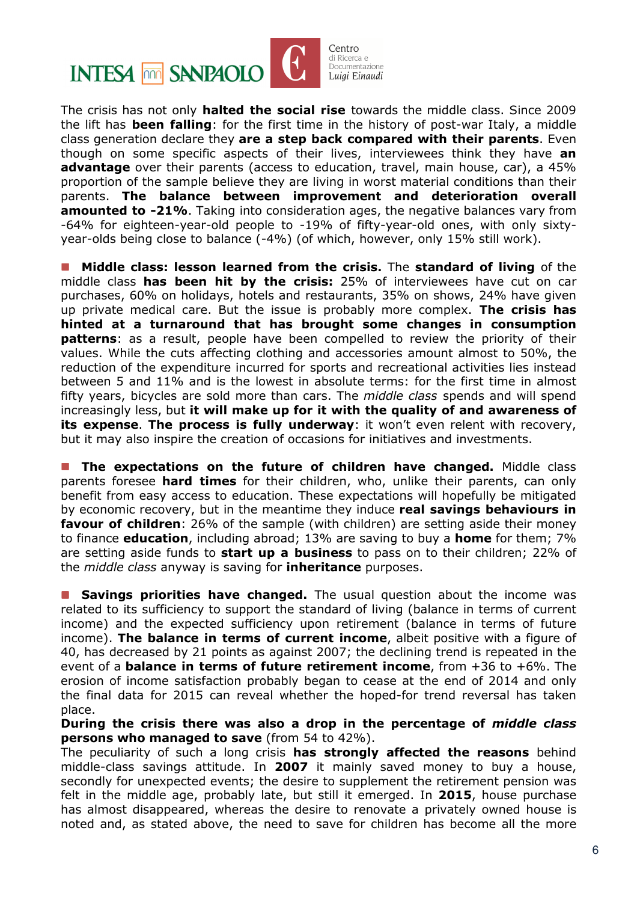

The crisis has not only **halted the social rise** towards the middle class. Since 2009 the lift has **been falling**: for the first time in the history of post-war Italy, a middle class generation declare they are a step back compared with their parents. Even though on some specific aspects of their lives, interviewees think they have an **advantage** over their parents (access to education, travel, main house, car), a 45% proportion of the sample believe they are living in worst material conditions than their parents. The balance between improvement and deterioration overall amounted to -21%. Taking into consideration ages, the negative balances vary from -64% for eighteen-year-old people to -19% of fifty-year-old ones, with only sixtyyear-olds being close to balance (-4%) (of which, however, only 15% still work).

 Middle class: lesson learned from the crisis. The standard of living of the middle class has been hit by the crisis: 25% of interviewees have cut on car purchases, 60% on holidays, hotels and restaurants, 35% on shows, 24% have given up private medical care. But the issue is probably more complex. The crisis has hinted at a turnaround that has brought some changes in consumption **patterns:** as a result, people have been compelled to review the priority of their values. While the cuts affecting clothing and accessories amount almost to 50%, the reduction of the expenditure incurred for sports and recreational activities lies instead between 5 and 11% and is the lowest in absolute terms: for the first time in almost fifty years, bicycles are sold more than cars. The *middle class* spends and will spend increasingly less, but it will make up for it with the quality of and awareness of its expense. The process is fully underway: it won't even relent with recovery, but it may also inspire the creation of occasions for initiatives and investments.

**The expectations on the future of children have changed.** Middle class parents foresee **hard times** for their children, who, unlike their parents, can only benefit from easy access to education. These expectations will hopefully be mitigated by economic recovery, but in the meantime they induce real savings behaviours in favour of children: 26% of the sample (with children) are setting aside their money to finance **education**, including abroad; 13% are saving to buy a **home** for them; 7% are setting aside funds to **start up a business** to pass on to their children; 22% of the *middle class* anyway is saving for **inheritance** purposes.

Savings priorities have changed. The usual question about the income was related to its sufficiency to support the standard of living (balance in terms of current income) and the expected sufficiency upon retirement (balance in terms of future income). The balance in terms of current income, albeit positive with a figure of 40, has decreased by 21 points as against 2007; the declining trend is repeated in the event of a **balance in terms of future retirement income**, from  $+36$  to  $+6\%$ . The erosion of income satisfaction probably began to cease at the end of 2014 and only the final data for 2015 can reveal whether the hoped-for trend reversal has taken place.

During the crisis there was also a drop in the percentage of *middle class* persons who managed to save (from 54 to 42%).

The peculiarity of such a long crisis has strongly affected the reasons behind middle-class savings attitude. In 2007 it mainly saved money to buy a house, secondly for unexpected events; the desire to supplement the retirement pension was felt in the middle age, probably late, but still it emerged. In 2015, house purchase has almost disappeared, whereas the desire to renovate a privately owned house is noted and, as stated above, the need to save for children has become all the more